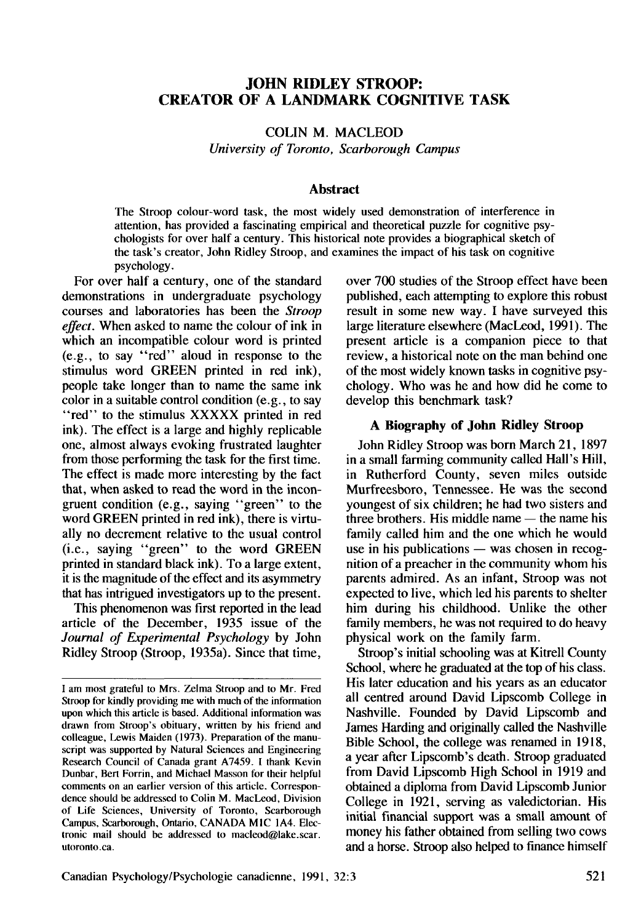# **JOHN RIDLEY STROOP: CREATOR OF A LANDMARK COGNITIVE TASK**

COLIN M. MACLEOD *University of Toronto, Scarborough Campus*

#### **Abstract**

The Stroop colour-word task, the most widely used demonstration of interference in attention, has provided a fascinating empirical and theoretical puzzle for cognitive psychologists for over half a century. This historical note provides a biographical sketch of the task's creator, John Ridley Stroop, and examines the impact of his task on cognitive psychology.

For over half a century, one of the standard demonstrations in undergraduate psychology courses and laboratories has been the *Stroop effect.* When asked to name the colour of ink in which an incompatible colour word is printed (e.g., to say "red" aloud in response to the stimulus word GREEN printed in red ink), people take longer than to name the same ink color in a suitable control condition (e.g., to say "red" to the stimulus XXXXX printed in red ink). The effect is a large and highly replicable one, almost always evoking frustrated laughter from those performing the task for the first time. The effect is made more interesting by the fact that, when asked to read the word in the incongruent condition (e.g., saying "green" to the word GREEN printed in red ink), there is virtually no decrement relative to the usual control (i.e., saying "green" to the word GREEN printed in standard black ink). To a large extent, it is the magnitude of the effect and its asymmetry that has intrigued investigators up to the present.

This phenomenon was first reported in the lead article of the December, 1935 issue of the *Journal of Experimental Psychology* by John Ridley Stroop (Stroop, 1935a). Since that time, over 700 studies of the Stroop effect have been published, each attempting to explore this robust result in some new way. I have surveyed this large literature elsewhere (MacLeod, 1991). The present article is a companion piece to that review, a historical note on the man behind one of the most widely known tasks in cognitive psychology. Who was he and how did he come to develop this benchmark task?

## **A Biography of John Ridley Stroop**

John Ridley Stroop was born March 21, 1897 in a small farming community called Hall's Hill, in Rutherford County, seven miles outside Murfreesboro, Tennessee. He was the second youngest of six children; he had two sisters and three brothers. His middle name — the name his family called him and the one which he would use in his publications — was chosen in recognition of a preacher in the community whom his parents admired. As an infant, Stroop was not expected to live, which led his parents to shelter him during his childhood. Unlike the other family members, he was not required to do heavy physical work on the family farm.

Stroop's initial schooling was at Kitrell County School, where he graduated at the top of his class. His later education and his years as an educator all centred around David Lipscomb College in Nashville. Founded by David Lipscomb and James Harding and originally called the Nashville Bible School, the college was renamed in 1918, a year after Lipscomb's death. Stroop graduated from David Lipscomb High School in 1919 and obtained a diploma from David Lipscomb Junior College in 1921, serving as valedictorian. His initial financial support was a small amount of money his father obtained from selling two cows and a horse. Stroop also helped to finance himself

I am most grateful to Mrs. Zelma Stroop and to Mr. Fred Stroop for kindly providing me with much of the information upon which this article is based. Additional information was drawn from Stroop's obituary, written by his friend and colleague, Lewis Maiden (1973). Preparation of the manuscript was supported by Natural Sciences and Engineering Research Council of Canada grant A7459. I thank Kevin Dunbar, Bert Forrin, and Michael Masson for their helpful comments on an earlier version of this article. Correspondence should be addressed to Colin M. MacLeod, Division of Life Sciences, University of Toronto, Scarborough Campus, Scarborough, Ontario, CANADA MIC 1A4. Electronic mail should be addressed to macleod@lake.scar. utoronto.ca.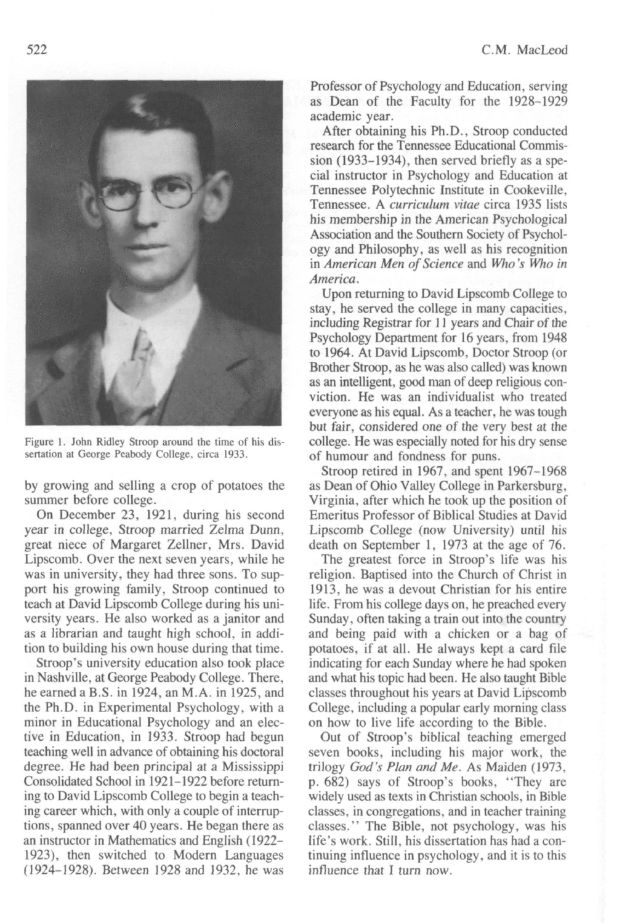

Figure 1. John Ridley Stroop around the time of his dissertation at George Peabody College, circa 1933.

by growing and selling **a crop of potatoes the** summer before college.

On December 23, **1921, during his second** year in college. Stroop married Zelma **Dunn,** great niece of Margaret Zellner, Mrs. David **Lipscomb. Over** the **next seven years, while** he was in university, they had **three sons. To support** his growing family, Stroop continued to teach at David Lipscomb College during his **university years. He also worked as a janitor and as a librarian and taught high school, in addition** to **building his own house during that time.**

Stroop's university education **also took place** in Nashville, at George Peabody College. There, **he earned a B.S. in 1924, an M.A. in 1925, and the Ph.D. in Experimental Psychology, with a** minor in Educational Psychology and an elective in Education, in 1933. Stroop had begun teaching well in advance of obtaining his doctoral **degree. He** had been **principal at a Mississippi** Consolidated School in 1921-1922 before return**ing** to David Lipscomb College **to begin a** teaching career which, with only a couple of interruptions, spanned **over 40 years. He began there as an instructor in Mathematics and English (1922- 1923), then switched to Modern Languages (1924-1928). Between 1928 and 1932, he was** Professor of Psychology and Education, serving as Dean of the **Faculty for the 1928-1929** academic year.

After obtaining his Ph.D., Stroop conducted research for the Tennessee Educational Commission (1933-1934), then served briefly as a special instructor in Psychology and Education at Tennessee Polytechnic Institute in Cookeville, Tennessee. A *curriculum vitae* circa 1935 lists his membership in the American Psychological Association and the Southern Society of Psychology and Philosophy, as well as his recognition in *American Men of Science* and *Who's Who in America.*

Upon returning to David Lipscomb College to stay, he served the college in many **capacities,** including Registrar for 11 years and Chair of the Psychology Department for 16 years, from 1948 **to 1964. At** David Lipscomb, Doctor Stroop (or Brother Stroop, as he was also called) was known as an intelligent, good man of deep religious conviction. He was an individualist who treated everyone as his equal. As a teacher, he was tough but fair, considered one of the very best at the college. He was especially noted for his dry sense of humour and fondness for puns.

Stroop retired in 1967, and spent 1967-1968 as Dean of Ohio Valley College in Parkersburg, Virginia, after which he took up the position of Emeritus Professor of Biblical Studies at David Lipscomb College (now University) until his **death** on September 1, 1973 at **the age of 76.**

The greatest force in Stroop's life was his religion. Baptised into the Church **of Christ in 1913, he was a devout Christian for his entire** life. From his college days on. he preached every Sunday, often taking a train out into the country **and being paid with** a chicken or a bag **of** potatoes, if at all. He always kept a card file indicating for each Sunday where he had spoken and what his topic had been. He also taught Bible classes throughout his years at David Lipscomb College, including a popular early morning **class** on how **to live life according to the Bible.**

**Out** of Stroop's biblical **teaching emerged seven books, including his** major **work, the trilogy** *God's Plan and Me.* As **Maiden (1973, p. 682) says of Stroop's books, "They are widely used as texts in Christian schools, in Bible classes, in congregations,** and in teacher **training** classes."' The Bible, not psychology, was his **life's work. Still, his** dissertation has **had a** continuing **influence in psychology, and it is** to **this influence that I turn now.**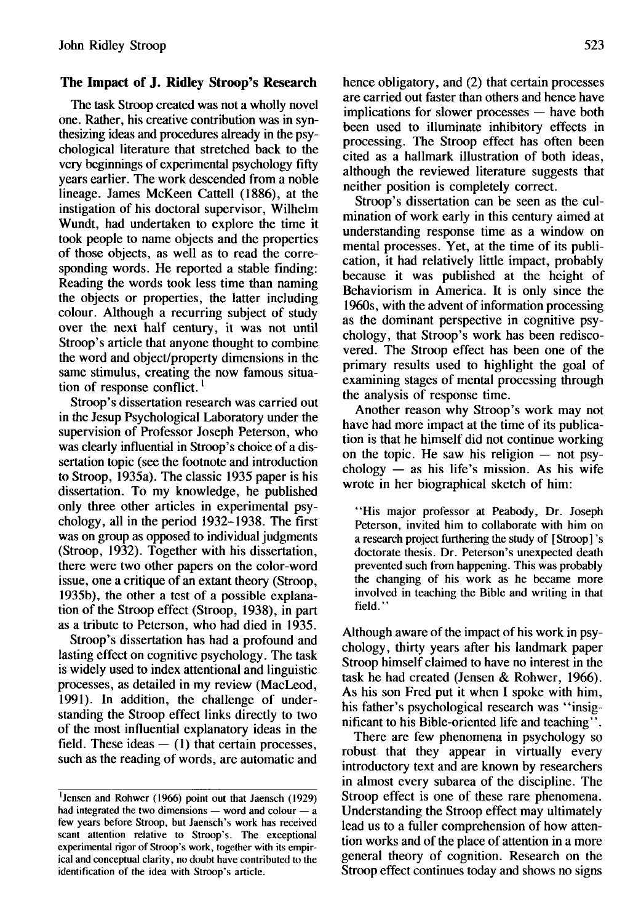## **The Impact of J. Ridley Stroop's Research**

The task Stroop created was not a wholly novel one. Rather, his creative contribution was in synthesizing ideas and procedures already in the psychological literature that stretched back to the very beginnings of experimental psychology fifty years earlier. The work descended from a noble lineage. James McKeen Cattell (1886), at the instigation of his doctoral supervisor, Wilhelm Wundt, had undertaken to explore the time it took people to name objects and the properties of those objects, as well as to read the corresponding words. He reported a stable finding: Reading the words took less time than naming the objects or properties, the latter including colour. Although a recurring subject of study over the next half century, it was not until Stroop's article that anyone thought to combine the word and object/property dimensions in the same stimulus, creating the now famous situation of response conflict.<sup>1</sup>

Stroop's dissertation research was carried out in the Jesup Psychological Laboratory under the supervision of Professor Joseph Peterson, who was clearly influential in Stroop's choice of a dissertation topic (see the footnote and introduction to Stroop, 1935a). The classic 1935 paper is his dissertation. To my knowledge, he published only three other articles in experimental psychology, all in the period 1932-1938. The first was on group as opposed to individual judgments (Stroop, 1932). Together with his dissertation, there were two other papers on the color-word issue, one a critique of an extant theory (Stroop, 1935b), the other a test of a possible explanation of the Stroop effect (Stroop, 1938), in part as a tribute to Peterson, who had died in 1935.

Stroop's dissertation has had a profound and lasting effect on cognitive psychology. The task is widely used to index attentional and linguistic processes, as detailed in my review (MacLeod, 1991). In addition, the challenge of understanding the Stroop effect links directly to two of the most influential explanatory ideas in the field. These ideas  $-$  (1) that certain processes, such as the reading of words, are automatic and hence obligatory, and (2) that certain processes are carried out faster than others and hence have implications for slower processes — have both been used to illuminate inhibitory effects in processing. The Stroop effect has often been cited as a hallmark illustration of both ideas, although the reviewed literature suggests that neither position is completely correct.

Stroop's dissertation can be seen as the culmination of work early in this century aimed at understanding response time as a window on mental processes. Yet, at the time of its publication, it had relatively little impact, probably because it was published at the height of Behaviorism in America. It is only since the 1960s, with the advent of information processing as the dominant perspective in cognitive psychology, that Stroop's work has been rediscovered. The Stroop effect has been one of the primary results used to highlight the goal of examining stages of mental processing through the analysis of response time.

Another reason why Stroop's work may not have had more impact at the time of its publication is that he himself did not continue working on the topic. He saw his religion — not psychology  $-$  as his life's mission. As his wife wrote in her biographical sketch of him:

"His major professor at Peabody, Dr. Joseph Peterson, invited him to collaborate with him on a research project furthering the study of [Stroop] 's doctorate thesis. Dr. Peterson's unexpected death prevented such from happening. This was probably the changing of his work as he became more involved in teaching the Bible and writing in that field."

Although aware of the impact of his work in psychology, thirty years after his landmark paper Stroop himself claimed to have no interest in the task he had created (Jensen & Rohwer, 1966). As his son Fred put it when I spoke with him, his father's psychological research was "insignificant to his Bible-oriented life and teaching".

There are few phenomena in psychology so robust that they appear in virtually every introductory text and are known by researchers in almost every subarea of the discipline. The Stroop effect is one of these rare phenomena. Understanding the Stroop effect may ultimately lead us to a fuller comprehension of how attention works and of the place of attention in a more general theory of cognition. Research on the Stroop effect continues today and shows no signs

<sup>&#</sup>x27;Jensen and Rohwer (1966) point out that Jaensch (1929) had integrated the two dimensions — word and colour — a few years before Stroop, but Jaensch's work has received scant attention relative to Stroop's. The exceptional experimental rigor of Stroop's work, together with its empirical and conceptual clarity, no doubt have contributed to the identification of the idea with Stroop's article.